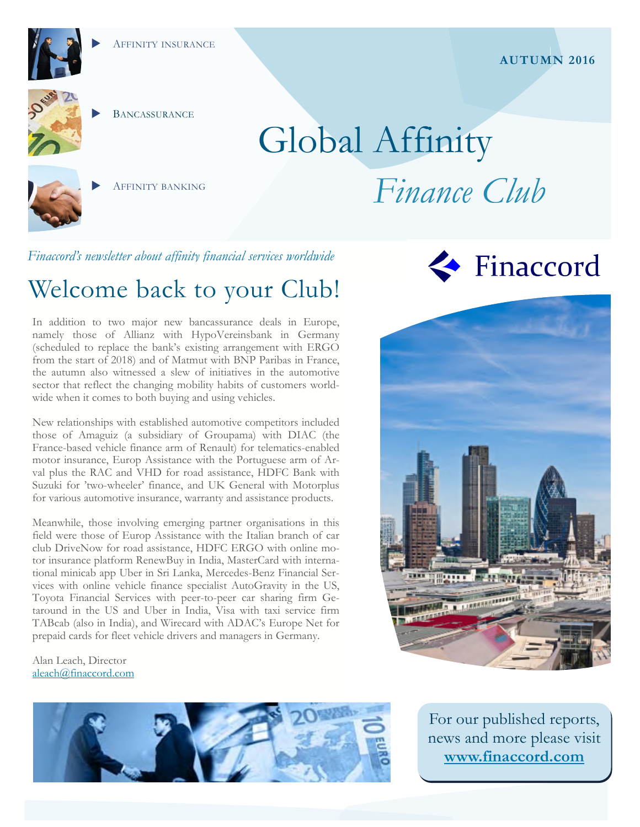





**BANCASSURANCE** 

AFFINITY BANKING

# Global Affinity *Finance Club*

*Finaccord's newsletter about affinity financial services worldwide* 

# Welcome back to your Club!

In addition to two major new bancassurance deals in Europe, namely those of Allianz with HypoVereinsbank in Germany (scheduled to replace the bank's existing arrangement with ERGO from the start of 2018) and of Matmut with BNP Paribas in France, the autumn also witnessed a slew of initiatives in the automotive sector that reflect the changing mobility habits of customers worldwide when it comes to both buying and using vehicles.

New relationships with established automotive competitors included those of Amaguiz (a subsidiary of Groupama) with DIAC (the France-based vehicle finance arm of Renault) for telematics-enabled motor insurance, Europ Assistance with the Portuguese arm of Arval plus the RAC and VHD for road assistance, HDFC Bank with Suzuki for 'two-wheeler' finance, and UK General with Motorplus for various automotive insurance, warranty and assistance products.

Meanwhile, those involving emerging partner organisations in this field were those of Europ Assistance with the Italian branch of car club DriveNow for road assistance, HDFC ERGO with online motor insurance platform RenewBuy in India, MasterCard with international minicab app Uber in Sri Lanka, Mercedes-Benz Financial Services with online vehicle finance specialist AutoGravity in the US, Toyota Financial Services with peer-to-peer car sharing firm Getaround in the US and Uber in India, Visa with taxi service firm TABcab (also in India), and Wirecard with ADAC's Europe Net for prepaid cards for fleet vehicle drivers and managers in Germany.

Alan Leach, Director aleach@finaccord.com







For our published reports, news and more please visit **www.finaccord.com**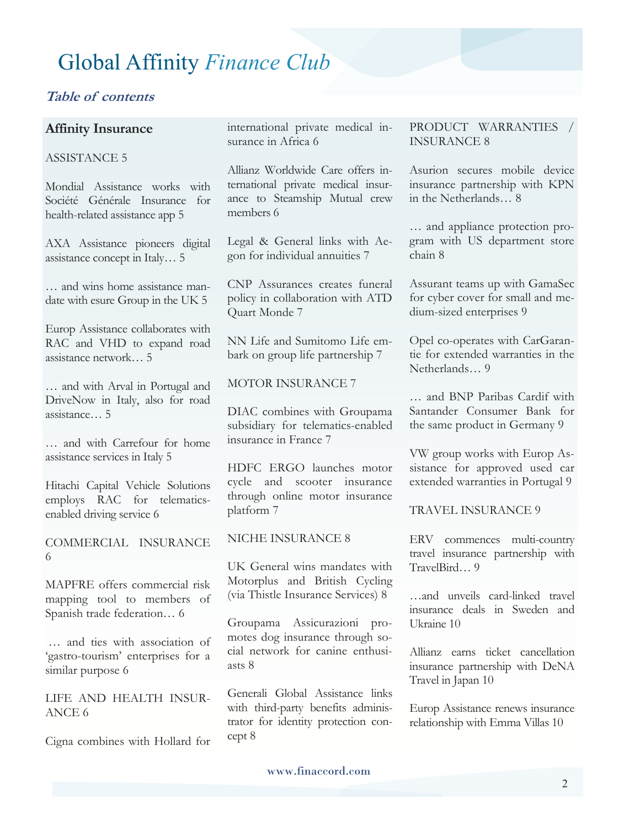#### **Table of contents**

#### **Affinity Insurance**

#### ASSISTANCE 5

Mondial Assistance works with Société Générale Insurance for health-related assistance app 5

AXA Assistance pioneers digital assistance concept in Italy… 5

… and wins home assistance mandate with esure Group in the UK 5

Europ Assistance collaborates with RAC and VHD to expand road assistance network… 5

… and with Arval in Portugal and DriveNow in Italy, also for road assistance… 5

… and with Carrefour for home assistance services in Italy 5

Hitachi Capital Vehicle Solutions employs RAC for telematicsenabled driving service 6

COMMERCIAL INSURANCE 6

MAPFRE offers commercial risk mapping tool to members of Spanish trade federation… 6

 … and ties with association of 'gastro-tourism' enterprises for a similar purpose 6

LIFE AND HEALTH INSUR-ANCE 6

Cigna combines with Hollard for

international private medical insurance in Africa 6

Allianz Worldwide Care offers international private medical insurance to Steamship Mutual crew members 6

Legal & General links with Aegon for individual annuities 7

CNP Assurances creates funeral policy in collaboration with ATD Quart Monde 7

NN Life and Sumitomo Life embark on group life partnership 7

#### MOTOR INSURANCE 7

DIAC combines with Groupama subsidiary for telematics-enabled insurance in France 7

HDFC ERGO launches motor cycle and scooter insurance through online motor insurance platform 7

#### NICHE INSURANCE 8

UK General wins mandates with Motorplus and British Cycling (via Thistle Insurance Services) 8

Groupama Assicurazioni promotes dog insurance through social network for canine enthusiasts 8

Generali Global Assistance links with third-party benefits administrator for identity protection concept 8

PRODUCT WARRANTIES / INSURANCE 8

Asurion secures mobile device insurance partnership with KPN in the Netherlands… 8

… and appliance protection program with US department store chain 8

Assurant teams up with GamaSec for cyber cover for small and medium-sized enterprises 9

Opel co-operates with CarGarantie for extended warranties in the Netherlands… 9

… and BNP Paribas Cardif with Santander Consumer Bank for the same product in Germany 9

VW group works with Europ Assistance for approved used car extended warranties in Portugal 9

TRAVEL INSURANCE 9

ERV commences multi-country travel insurance partnership with TravelBird… 9

…and unveils card-linked travel insurance deals in Sweden and Ukraine 10

Allianz earns ticket cancellation insurance partnership with DeNA Travel in Japan 10

Europ Assistance renews insurance relationship with Emma Villas 10

www.finaccord.com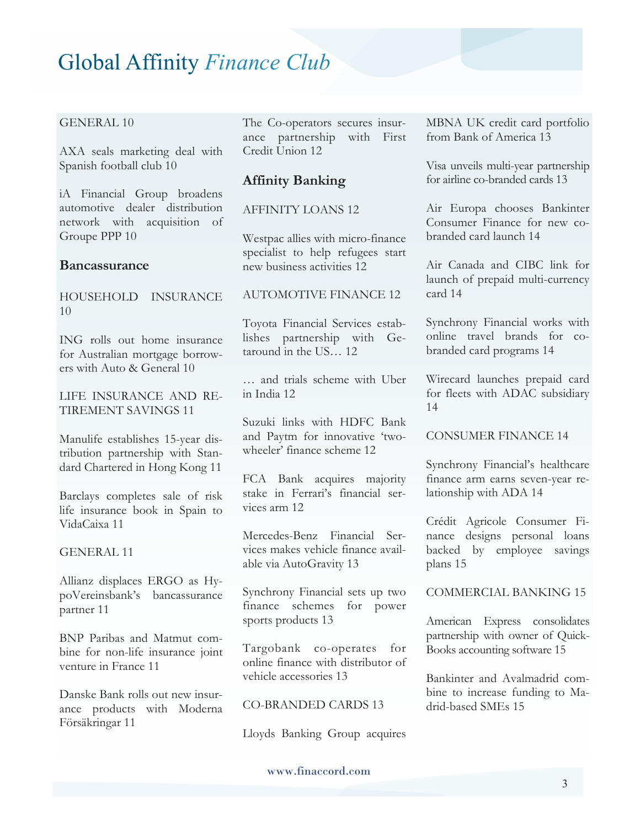#### GENERAL 10

AXA seals marketing deal with Spanish football club 10

iA Financial Group broadens automotive dealer distribution network with acquisition of Groupe PPP 10

#### **Bancassurance**

HOUSEHOLD INSURANCE 10

ING rolls out home insurance for Australian mortgage borrowers with Auto & General 10

LIFE INSURANCE AND RE-TIREMENT SAVINGS 11

Manulife establishes 15-year distribution partnership with Standard Chartered in Hong Kong 11

Barclays completes sale of risk life insurance book in Spain to VidaCaixa 11

GENERAL 11

Allianz displaces ERGO as HypoVereinsbank's bancassurance partner 11

BNP Paribas and Matmut combine for non-life insurance joint venture in France 11

Danske Bank rolls out new insurance products with Moderna Försäkringar 11

The Co-operators secures insurance partnership with First Credit Union 12

#### **Affinity Banking**

#### AFFINITY LOANS 12

Westpac allies with micro-finance specialist to help refugees start new business activities 12

#### AUTOMOTIVE FINANCE 12

Toyota Financial Services establishes partnership with Getaround in the US… 12

… and trials scheme with Uber in India 12

Suzuki links with HDFC Bank and Paytm for innovative 'twowheeler' finance scheme 12

FCA Bank acquires majority stake in Ferrari's financial services arm 12

Mercedes-Benz Financial Services makes vehicle finance available via AutoGravity 13

Synchrony Financial sets up two finance schemes for power sports products 13

Targobank co-operates for online finance with distributor of vehicle accessories 13

CO-BRANDED CARDS 13

Lloyds Banking Group acquires

MBNA UK credit card portfolio from Bank of America 13

Visa unveils multi-year partnership for airline co-branded cards 13

Air Europa chooses Bankinter Consumer Finance for new cobranded card launch 14

Air Canada and CIBC link for launch of prepaid multi-currency card 14

Synchrony Financial works with online travel brands for cobranded card programs 14

Wirecard launches prepaid card for fleets with ADAC subsidiary 14

CONSUMER FINANCE 14

Synchrony Financial's healthcare finance arm earns seven-year relationship with ADA 14

Crédit Agricole Consumer Finance designs personal loans backed by employee savings plans 15

COMMERCIAL BANKING 15

American Express consolidates partnership with owner of Quick-Books accounting software 15

Bankinter and Avalmadrid combine to increase funding to Madrid-based SMEs 15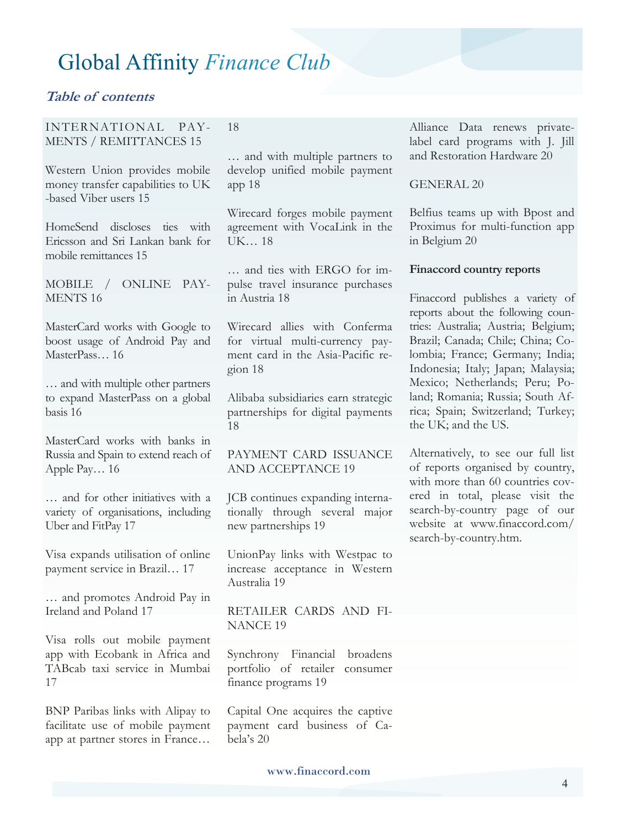18

#### **Table of contents**

#### INTERNATIONAL PAY-MENTS / REMITTANCES 15

Western Union provides mobile money transfer capabilities to UK -based Viber users 15

HomeSend discloses ties with Ericsson and Sri Lankan bank for mobile remittances 15

MOBILE / ONLINE PAY-MENTS 16

MasterCard works with Google to boost usage of Android Pay and MasterPass… 16

… and with multiple other partners to expand MasterPass on a global basis 16

MasterCard works with banks in Russia and Spain to extend reach of Apple Pay… 16

… and for other initiatives with a variety of organisations, including Uber and FitPay 17

Visa expands utilisation of online payment service in Brazil… 17

… and promotes Android Pay in Ireland and Poland 17

Visa rolls out mobile payment app with Ecobank in Africa and TABcab taxi service in Mumbai 17

BNP Paribas links with Alipay to facilitate use of mobile payment app at partner stores in France…

… and with multiple partners to develop unified mobile payment app 18

Wirecard forges mobile payment agreement with VocaLink in the UK… 18

… and ties with ERGO for impulse travel insurance purchases in Austria 18

Wirecard allies with Conferma for virtual multi-currency payment card in the Asia-Pacific region 18

Alibaba subsidiaries earn strategic partnerships for digital payments 18

PAYMENT CARD ISSUANCE AND ACCEPTANCE 19

JCB continues expanding internationally through several major new partnerships 19

UnionPay links with Westpac to increase acceptance in Western Australia 19

RETAILER CARDS AND FI-NANCE 19

Synchrony Financial broadens portfolio of retailer consumer finance programs 19

Capital One acquires the captive payment card business of Cabela's 20

Alliance Data renews privatelabel card programs with J. Jill and Restoration Hardware 20

#### GENERAL 20

Belfius teams up with Bpost and Proximus for multi-function app in Belgium 20

#### **Finaccord country reports**

Finaccord publishes a variety of reports about the following countries: Australia; Austria; Belgium; Brazil; Canada; Chile; China; Colombia; France; Germany; India; Indonesia; Italy; Japan; Malaysia; Mexico; Netherlands; Peru; Poland; Romania; Russia; South Africa; Spain; Switzerland; Turkey; the UK; and the US.

Alternatively, to see our full list of reports organised by country, with more than 60 countries covered in total, please visit the search-by-country page of our website at www.finaccord.com/ search-by-country.htm.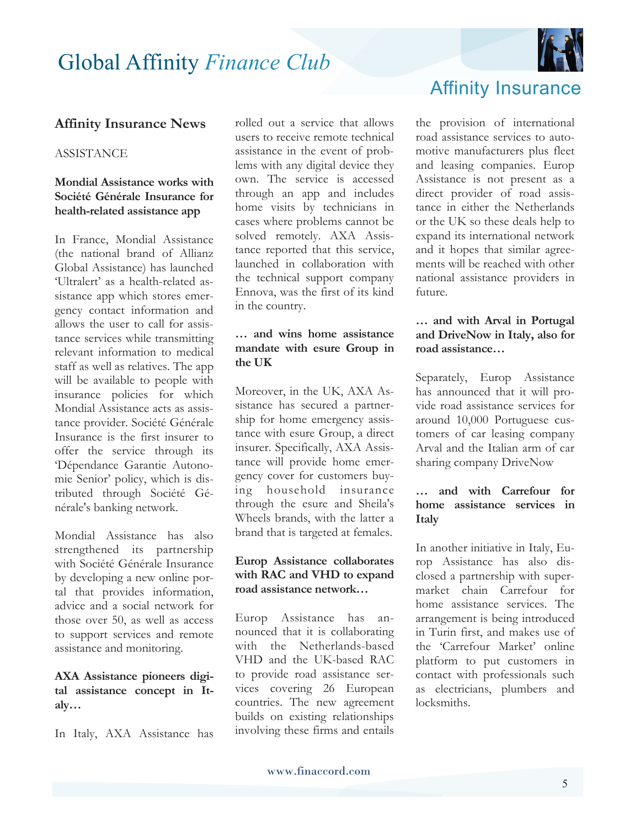

#### **Affinity Insurance News**

#### **ASSISTANCE**

#### **Mondial Assistance works with Société Générale Insurance for health-related assistance app**

In France, Mondial Assistance (the national brand of Allianz Global Assistance) has launched 'Ultralert' as a health-related assistance app which stores emergency contact information and allows the user to call for assistance services while transmitting relevant information to medical staff as well as relatives. The app will be available to people with insurance policies for which Mondial Assistance acts as assistance provider. Société Générale Insurance is the first insurer to offer the service through its 'Dépendance Garantie Autonomie Senior' policy, which is distributed through Société Générale's banking network.

Mondial Assistance has also strengthened its partnership with Société Générale Insurance by developing a new online portal that provides information, advice and a social network for those over 50, as well as access to support services and remote assistance and monitoring.

#### **AXA Assistance pioneers digital assistance concept in Italy…**

In Italy, AXA Assistance has

rolled out a service that allows users to receive remote technical assistance in the event of problems with any digital device they own. The service is accessed through an app and includes home visits by technicians in cases where problems cannot be solved remotely. AXA Assistance reported that this service, launched in collaboration with the technical support company Ennova, was the first of its kind in the country.

#### **… and wins home assistance mandate with esure Group in the UK**

Moreover, in the UK, AXA Assistance has secured a partnership for home emergency assistance with esure Group, a direct insurer. Specifically, AXA Assistance will provide home emergency cover for customers buying household insurance through the esure and Sheila's Wheels brands, with the latter a brand that is targeted at females.

#### **Europ Assistance collaborates with RAC and VHD to expand road assistance network…**

Europ Assistance has announced that it is collaborating with the Netherlands-based VHD and the UK-based RAC to provide road assistance services covering 26 European countries. The new agreement builds on existing relationships involving these firms and entails

Affinity Insurance

the provision of international road assistance services to automotive manufacturers plus fleet and leasing companies. Europ Assistance is not present as a direct provider of road assistance in either the Netherlands or the UK so these deals help to expand its international network and it hopes that similar agreements will be reached with other national assistance providers in future.

#### **… and with Arval in Portugal and DriveNow in Italy, also for road assistance…**

Separately, Europ Assistance has announced that it will provide road assistance services for around 10,000 Portuguese customers of car leasing company Arval and the Italian arm of car sharing company DriveNow

#### **… and with Carrefour for home assistance services in Italy**

In another initiative in Italy, Europ Assistance has also disclosed a partnership with supermarket chain Carrefour for home assistance services. The arrangement is being introduced in Turin first, and makes use of the 'Carrefour Market' online platform to put customers in contact with professionals such as electricians, plumbers and locksmiths.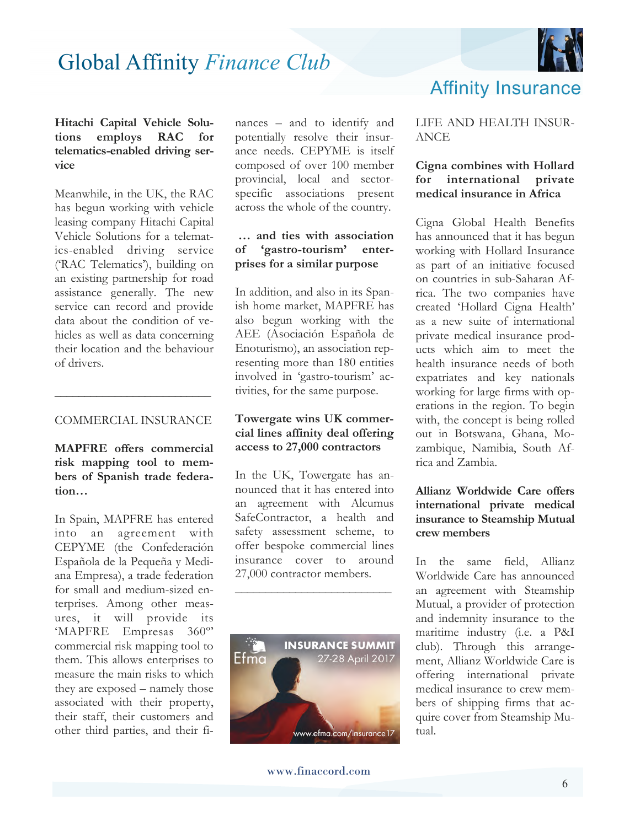

#### **Hitachi Capital Vehicle Solutions employs RAC for telematics-enabled driving service**

Meanwhile, in the UK, the RAC has begun working with vehicle leasing company Hitachi Capital Vehicle Solutions for a telematics-enabled driving service ('RAC Telematics'), building on an existing partnership for road assistance generally. The new service can record and provide data about the condition of vehicles as well as data concerning their location and the behaviour of drivers.

#### COMMERCIAL INSURANCE

**\_\_\_\_\_\_\_\_\_\_\_\_\_\_\_\_\_\_\_\_\_\_\_\_\_\_** 

**MAPFRE offers commercial risk mapping tool to members of Spanish trade federation…**

In Spain, MAPFRE has entered into an agreement with CEPYME (the Confederación Española de la Pequeña y Mediana Empresa), a trade federation for small and medium-sized enterprises. Among other measures, it will provide its 'MAPFRE Empresas 360º' commercial risk mapping tool to them. This allows enterprises to measure the main risks to which they are exposed – namely those associated with their property, their staff, their customers and other third parties, and their finances – and to identify and potentially resolve their insurance needs. CEPYME is itself composed of over 100 member provincial, local and sectorspecific associations present across the whole of the country.

#### **… and ties with association of 'gastro-tourism' enterprises for a similar purpose**

In addition, and also in its Spanish home market, MAPFRE has also begun working with the AEE (Asociación Española de Enoturismo), an association representing more than 180 entities involved in 'gastro-tourism' activities, for the same purpose.

#### **Towergate wins UK commercial lines affinity deal offering access to 27,000 contractors**

In the UK, Towergate has announced that it has entered into an agreement with Alcumus SafeContractor, a health and safety assessment scheme, to offer bespoke commercial lines insurance cover to around 27,000 contractor members.

**\_\_\_\_\_\_\_\_\_\_\_\_\_\_\_\_\_\_\_\_\_\_\_\_\_\_** 



### Affinity Insurance

#### LIFE AND HEALTH INSUR-ANCE

#### **Cigna combines with Hollard for international private medical insurance in Africa**

Cigna Global Health Benefits has announced that it has begun working with Hollard Insurance as part of an initiative focused on countries in sub-Saharan Africa. The two companies have created 'Hollard Cigna Health' as a new suite of international private medical insurance products which aim to meet the health insurance needs of both expatriates and key nationals working for large firms with operations in the region. To begin with, the concept is being rolled out in Botswana, Ghana, Mozambique, Namibia, South Africa and Zambia.

#### **Allianz Worldwide Care offers international private medical insurance to Steamship Mutual crew members**

In the same field, Allianz Worldwide Care has announced an agreement with Steamship Mutual, a provider of protection and indemnity insurance to the maritime industry (i.e. a P&I club). Through this arrangement, Allianz Worldwide Care is offering international private medical insurance to crew members of shipping firms that acquire cover from Steamship Mutual.

www.finaccord.com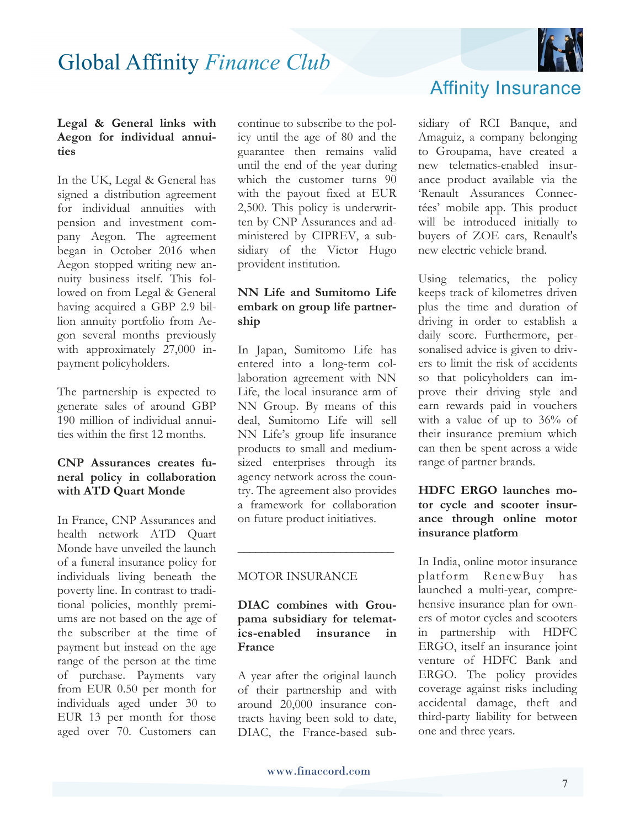

#### **Legal & General links with Aegon for individual annuities**

In the UK, Legal & General has signed a distribution agreement for individual annuities with pension and investment company Aegon. The agreement began in October 2016 when Aegon stopped writing new annuity business itself. This followed on from Legal & General having acquired a GBP 2.9 billion annuity portfolio from Aegon several months previously with approximately 27,000 inpayment policyholders.

The partnership is expected to generate sales of around GBP 190 million of individual annuities within the first 12 months.

#### **CNP Assurances creates funeral policy in collaboration with ATD Quart Monde**

In France, CNP Assurances and health network ATD Quart Monde have unveiled the launch of a funeral insurance policy for individuals living beneath the poverty line. In contrast to traditional policies, monthly premiums are not based on the age of the subscriber at the time of payment but instead on the age range of the person at the time of purchase. Payments vary from EUR 0.50 per month for individuals aged under 30 to EUR 13 per month for those aged over 70. Customers can

continue to subscribe to the policy until the age of 80 and the guarantee then remains valid until the end of the year during which the customer turns 90 with the payout fixed at EUR 2,500. This policy is underwritten by CNP Assurances and administered by CIPREV, a subsidiary of the Victor Hugo provident institution.

#### **NN Life and Sumitomo Life embark on group life partnership**

In Japan, Sumitomo Life has entered into a long-term collaboration agreement with NN Life, the local insurance arm of NN Group. By means of this deal, Sumitomo Life will sell NN Life's group life insurance products to small and mediumsized enterprises through its agency network across the country. The agreement also provides a framework for collaboration on future product initiatives.

#### MOTOR INSURANCE

#### **DIAC combines with Groupama subsidiary for telematics-enabled insurance in France**

**\_\_\_\_\_\_\_\_\_\_\_\_\_\_\_\_\_\_\_\_\_\_\_\_\_\_**

A year after the original launch of their partnership and with around 20,000 insurance contracts having been sold to date, DIAC, the France-based sub-

### Affinity Insurance

sidiary of RCI Banque, and Amaguiz, a company belonging to Groupama, have created a new telematics-enabled insurance product available via the 'Renault Assurances Connectées' mobile app. This product will be introduced initially to buyers of ZOE cars, Renault's new electric vehicle brand.

Using telematics, the policy keeps track of kilometres driven plus the time and duration of driving in order to establish a daily score. Furthermore, personalised advice is given to drivers to limit the risk of accidents so that policyholders can improve their driving style and earn rewards paid in vouchers with a value of up to 36% of their insurance premium which can then be spent across a wide range of partner brands.

#### **HDFC ERGO launches motor cycle and scooter insurance through online motor insurance platform**

In India, online motor insurance platform RenewBuy has launched a multi-year, comprehensive insurance plan for owners of motor cycles and scooters in partnership with HDFC ERGO, itself an insurance joint venture of HDFC Bank and ERGO. The policy provides coverage against risks including accidental damage, theft and third-party liability for between one and three years.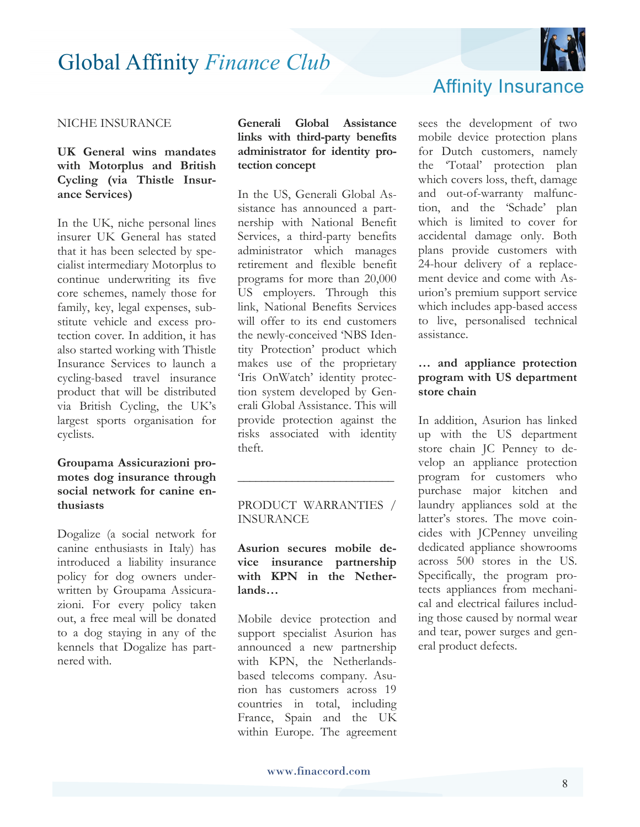

#### NICHE INSURANCE

#### **UK General wins mandates with Motorplus and British Cycling (via Thistle Insurance Services)**

In the UK, niche personal lines insurer UK General has stated that it has been selected by specialist intermediary Motorplus to continue underwriting its five core schemes, namely those for family, key, legal expenses, substitute vehicle and excess protection cover. In addition, it has also started working with Thistle Insurance Services to launch a cycling-based travel insurance product that will be distributed via British Cycling, the UK's largest sports organisation for cyclists.

#### **Groupama Assicurazioni promotes dog insurance through social network for canine enthusiasts**

Dogalize (a social network for canine enthusiasts in Italy) has introduced a liability insurance policy for dog owners underwritten by Groupama Assicurazioni. For every policy taken out, a free meal will be donated to a dog staying in any of the kennels that Dogalize has partnered with.

**Generali Global Assistance links with third-party benefits administrator for identity protection concept** 

In the US, Generali Global Assistance has announced a partnership with National Benefit Services, a third-party benefits administrator which manages retirement and flexible benefit programs for more than 20,000 US employers. Through this link, National Benefits Services will offer to its end customers the newly-conceived 'NBS Identity Protection' product which makes use of the proprietary 'Iris OnWatch' identity protection system developed by Generali Global Assistance. This will provide protection against the risks associated with identity theft.

#### PRODUCT WARRANTIES / INSURANCE

**\_\_\_\_\_\_\_\_\_\_\_\_\_\_\_\_\_\_\_\_\_\_\_\_\_\_**

#### **Asurion secures mobile device insurance partnership with KPN in the Netherlands…**

Mobile device protection and support specialist Asurion has announced a new partnership with KPN, the Netherlandsbased telecoms company. Asurion has customers across 19 countries in total, including France, Spain and the UK within Europe. The agreement

### Affinity Insurance

sees the development of two mobile device protection plans for Dutch customers, namely the 'Totaal' protection plan which covers loss, theft, damage and out-of-warranty malfunction, and the 'Schade' plan which is limited to cover for accidental damage only. Both plans provide customers with 24-hour delivery of a replacement device and come with Asurion's premium support service which includes app-based access to live, personalised technical assistance.

#### **… and appliance protection program with US department store chain**

In addition, Asurion has linked up with the US department store chain JC Penney to develop an appliance protection program for customers who purchase major kitchen and laundry appliances sold at the latter's stores. The move coincides with JCPenney unveiling dedicated appliance showrooms across 500 stores in the US. Specifically, the program protects appliances from mechanical and electrical failures including those caused by normal wear and tear, power surges and general product defects.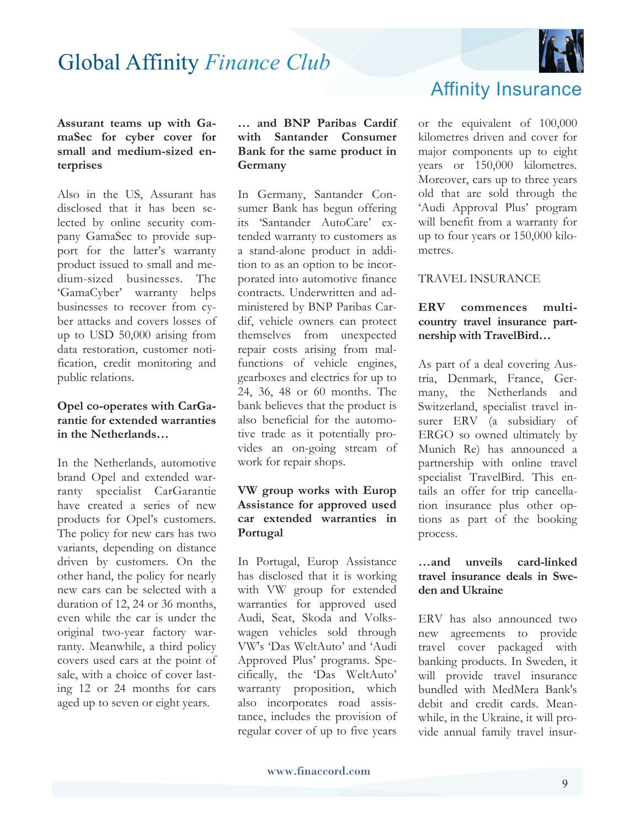

**Assurant teams up with GamaSec for cyber cover for small and medium-sized enterprises** 

Also in the US, Assurant has disclosed that it has been selected by online security company GamaSec to provide support for the latter's warranty product issued to small and medium-sized businesses. The 'GamaCyber' warranty helps businesses to recover from cyber attacks and covers losses of up to USD 50,000 arising from data restoration, customer notification, credit monitoring and public relations.

#### **Opel co-operates with CarGarantie for extended warranties in the Netherlands…**

In the Netherlands, automotive brand Opel and extended warranty specialist CarGarantie have created a series of new products for Opel's customers. The policy for new cars has two variants, depending on distance driven by customers. On the other hand, the policy for nearly new cars can be selected with a duration of 12, 24 or 36 months, even while the car is under the original two-year factory warranty. Meanwhile, a third policy covers used cars at the point of sale, with a choice of cover lasting 12 or 24 months for cars aged up to seven or eight years.

#### **… and BNP Paribas Cardif with Santander Consumer Bank for the same product in Germany**

In Germany, Santander Consumer Bank has begun offering its 'Santander AutoCare' extended warranty to customers as a stand-alone product in addition to as an option to be incorporated into automotive finance contracts. Underwritten and administered by BNP Paribas Cardif, vehicle owners can protect themselves from unexpected repair costs arising from malfunctions of vehicle engines, gearboxes and electrics for up to 24, 36, 48 or 60 months. The bank believes that the product is also beneficial for the automotive trade as it potentially provides an on-going stream of work for repair shops.

#### **VW group works with Europ Assistance for approved used car extended warranties in Portugal**

In Portugal, Europ Assistance has disclosed that it is working with VW group for extended warranties for approved used Audi, Seat, Skoda and Volkswagen vehicles sold through VW's 'Das WeltAuto' and 'Audi Approved Plus' programs. Specifically, the 'Das WeltAuto' warranty proposition, which also incorporates road assistance, includes the provision of regular cover of up to five years



or the equivalent of 100,000 kilometres driven and cover for major components up to eight years or 150,000 kilometres. Moreover, cars up to three years old that are sold through the 'Audi Approval Plus' program will benefit from a warranty for up to four years or 150,000 kilometres.

#### TRAVEL INSURANCE

#### **ERV commences multicountry travel insurance partnership with TravelBird…**

As part of a deal covering Austria, Denmark, France, Germany, the Netherlands and Switzerland, specialist travel insurer ERV (a subsidiary of ERGO so owned ultimately by Munich Re) has announced a partnership with online travel specialist TravelBird. This entails an offer for trip cancellation insurance plus other options as part of the booking process.

#### **…and unveils card-linked travel insurance deals in Sweden and Ukraine**

ERV has also announced two new agreements to provide travel cover packaged with banking products. In Sweden, it will provide travel insurance bundled with MedMera Bank's debit and credit cards. Meanwhile, in the Ukraine, it will provide annual family travel insur-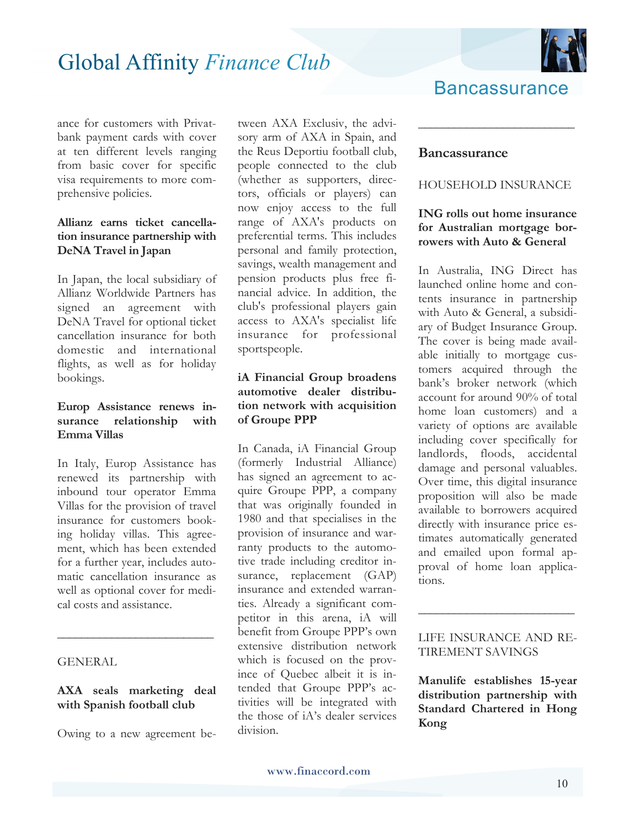

ance for customers with Privatbank payment cards with cover at ten different levels ranging from basic cover for specific visa requirements to more comprehensive policies.

#### **Allianz earns ticket cancellation insurance partnership with DeNA Travel in Japan**

In Japan, the local subsidiary of Allianz Worldwide Partners has signed an agreement with DeNA Travel for optional ticket cancellation insurance for both domestic and international flights, as well as for holiday bookings.

#### **Europ Assistance renews insurance relationship with Emma Villas**

In Italy, Europ Assistance has renewed its partnership with inbound tour operator Emma Villas for the provision of travel insurance for customers booking holiday villas. This agreement, which has been extended for a further year, includes automatic cancellation insurance as well as optional cover for medical costs and assistance.

#### **GENERAL**

#### **AXA seals marketing deal with Spanish football club**

**\_\_\_\_\_\_\_\_\_\_\_\_\_\_\_\_\_\_\_\_\_\_\_\_\_\_**

Owing to a new agreement be-

tween AXA Exclusiv, the advisory arm of AXA in Spain, and the Reus Deportiu football club, people connected to the club (whether as supporters, directors, officials or players) can now enjoy access to the full range of AXA's products on preferential terms. This includes personal and family protection, savings, wealth management and pension products plus free financial advice. In addition, the club's professional players gain access to AXA's specialist life insurance for professional sportspeople.

#### **iA Financial Group broadens automotive dealer distribution network with acquisition of Groupe PPP**

In Canada, iA Financial Group (formerly Industrial Alliance) has signed an agreement to acquire Groupe PPP, a company that was originally founded in 1980 and that specialises in the provision of insurance and warranty products to the automotive trade including creditor insurance, replacement (GAP) insurance and extended warranties. Already a significant competitor in this arena, iA will benefit from Groupe PPP's own extensive distribution network which is focused on the province of Quebec albeit it is intended that Groupe PPP's activities will be integrated with the those of iA's dealer services division.

### **Bancassurance**

**\_\_\_\_\_\_\_\_\_\_\_\_\_\_\_\_\_\_\_\_\_\_\_\_\_\_**

#### **Bancassurance**

#### HOUSEHOLD INSURANCE

#### **ING rolls out home insurance for Australian mortgage borrowers with Auto & General**

In Australia, ING Direct has launched online home and contents insurance in partnership with Auto & General, a subsidiary of Budget Insurance Group. The cover is being made available initially to mortgage customers acquired through the bank's broker network (which account for around 90% of total home loan customers) and a variety of options are available including cover specifically for landlords, floods, accidental damage and personal valuables. Over time, this digital insurance proposition will also be made available to borrowers acquired directly with insurance price estimates automatically generated and emailed upon formal approval of home loan applications.

#### LIFE INSURANCE AND RE-TIREMENT SAVINGS

**\_\_\_\_\_\_\_\_\_\_\_\_\_\_\_\_\_\_\_\_\_\_\_\_\_\_**

**Manulife establishes 15-year distribution partnership with Standard Chartered in Hong Kong**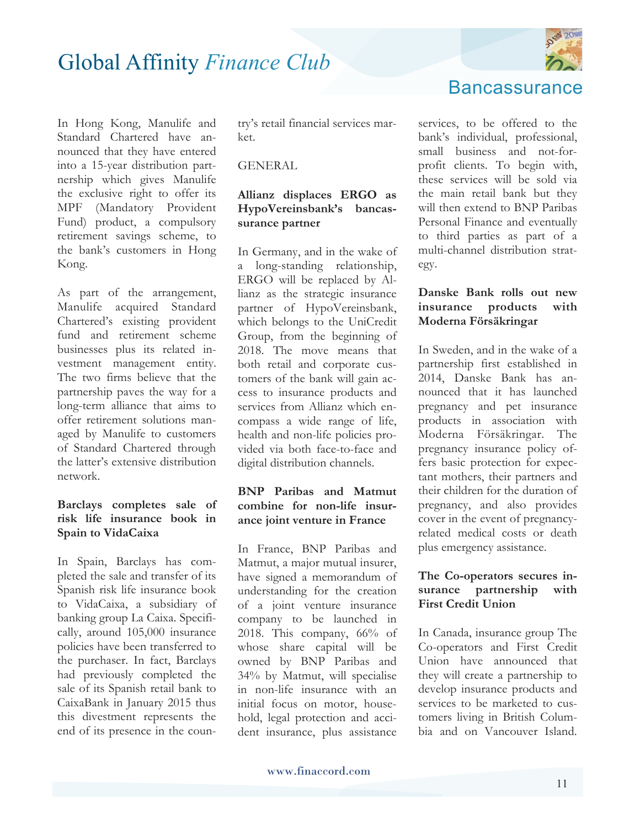

In Hong Kong, Manulife and Standard Chartered have announced that they have entered into a 15-year distribution partnership which gives Manulife the exclusive right to offer its MPF (Mandatory Provident Fund) product, a compulsory retirement savings scheme, to the bank's customers in Hong Kong.

As part of the arrangement, Manulife acquired Standard Chartered's existing provident fund and retirement scheme businesses plus its related investment management entity. The two firms believe that the partnership paves the way for a long-term alliance that aims to offer retirement solutions managed by Manulife to customers of Standard Chartered through the latter's extensive distribution network.

#### **Barclays completes sale of risk life insurance book in Spain to VidaCaixa**

In Spain, Barclays has completed the sale and transfer of its Spanish risk life insurance book to VidaCaixa, a subsidiary of banking group La Caixa. Specifically, around 105,000 insurance policies have been transferred to the purchaser. In fact, Barclays had previously completed the sale of its Spanish retail bank to CaixaBank in January 2015 thus this divestment represents the end of its presence in the coun-

try's retail financial services market.

#### **GENERAL**

#### **Allianz displaces ERGO as HypoVereinsbank's bancassurance partner**

In Germany, and in the wake of a long-standing relationship, ERGO will be replaced by Allianz as the strategic insurance partner of HypoVereinsbank, which belongs to the UniCredit Group, from the beginning of 2018. The move means that both retail and corporate customers of the bank will gain access to insurance products and services from Allianz which encompass a wide range of life, health and non-life policies provided via both face-to-face and digital distribution channels.

#### **BNP Paribas and Matmut combine for non-life insurance joint venture in France**

In France, BNP Paribas and Matmut, a major mutual insurer, have signed a memorandum of understanding for the creation of a joint venture insurance company to be launched in 2018. This company,  $66\%$  of whose share capital will be owned by BNP Paribas and 34% by Matmut, will specialise in non-life insurance with an initial focus on motor, household, legal protection and accident insurance, plus assistance



services, to be offered to the bank's individual, professional, small business and not-forprofit clients. To begin with, these services will be sold via the main retail bank but they will then extend to BNP Paribas Personal Finance and eventually to third parties as part of a multi-channel distribution strategy.

#### **Danske Bank rolls out new insurance products with Moderna Försäkringar**

In Sweden, and in the wake of a partnership first established in 2014, Danske Bank has announced that it has launched pregnancy and pet insurance products in association with Moderna Försäkringar. The pregnancy insurance policy offers basic protection for expectant mothers, their partners and their children for the duration of pregnancy, and also provides cover in the event of pregnancyrelated medical costs or death plus emergency assistance.

#### **The Co-operators secures insurance partnership with First Credit Union**

In Canada, insurance group The Co-operators and First Credit Union have announced that they will create a partnership to develop insurance products and services to be marketed to customers living in British Columbia and on Vancouver Island.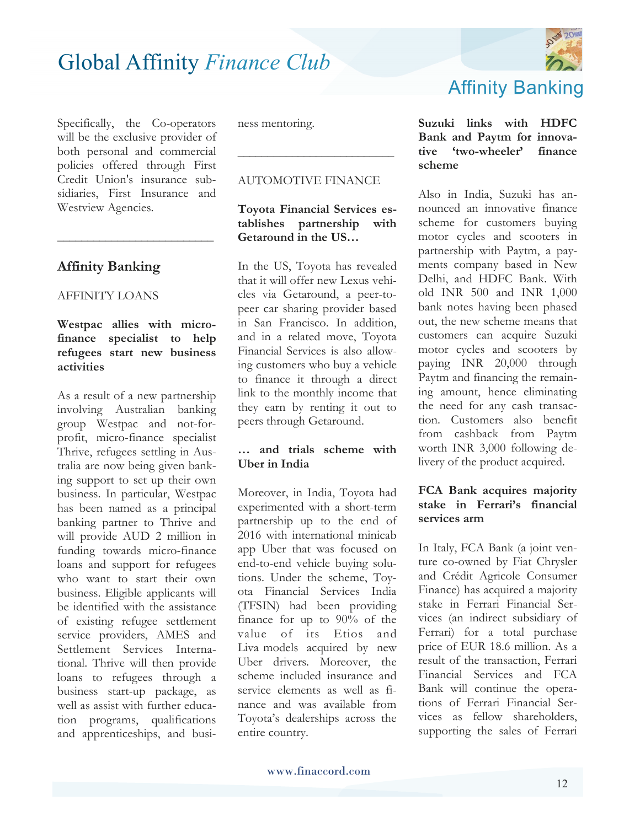Specifically, the Co-operators will be the exclusive provider of both personal and commercial policies offered through First Credit Union's insurance subsidiaries, First Insurance and Westview Agencies.

**\_\_\_\_\_\_\_\_\_\_\_\_\_\_\_\_\_\_\_\_\_\_\_\_\_\_**

#### **Affinity Banking**

#### AFFINITY LOANS

#### **Westpac allies with microfinance specialist to help refugees start new business activities**

As a result of a new partnership involving Australian banking group Westpac and not-forprofit, micro-finance specialist Thrive, refugees settling in Australia are now being given banking support to set up their own business. In particular, Westpac has been named as a principal banking partner to Thrive and will provide AUD 2 million in funding towards micro-finance loans and support for refugees who want to start their own business. Eligible applicants will be identified with the assistance of existing refugee settlement service providers, AMES and Settlement Services International. Thrive will then provide loans to refugees through a business start-up package, as well as assist with further education programs, qualifications and apprenticeships, and business mentoring.

#### AUTOMOTIVE FINANCE

**\_\_\_\_\_\_\_\_\_\_\_\_\_\_\_\_\_\_\_\_\_\_\_\_\_\_**

#### **Toyota Financial Services establishes partnership with Getaround in the US…**

In the US, Toyota has revealed that it will offer new Lexus vehicles via Getaround, a peer-topeer car sharing provider based in San Francisco. In addition, and in a related move, Toyota Financial Services is also allowing customers who buy a vehicle to finance it through a direct link to the monthly income that they earn by renting it out to peers through Getaround.

#### **… and trials scheme with Uber in India**

Moreover, in India, Toyota had experimented with a short-term partnership up to the end of 2016 with international minicab app Uber that was focused on end-to-end vehicle buying solutions. Under the scheme, Toyota Financial Services India (TFSIN) had been providing finance for up to 90% of the value of its Etios and Liva models acquired by new Uber drivers. Moreover, the scheme included insurance and service elements as well as finance and was available from Toyota's dealerships across the entire country.



### Affinity Banking

#### **Suzuki links with HDFC Bank and Paytm for innovative 'two-wheeler' finance scheme**

Also in India, Suzuki has announced an innovative finance scheme for customers buying motor cycles and scooters in partnership with Paytm, a payments company based in New Delhi, and HDFC Bank. With old INR 500 and INR 1,000 bank notes having been phased out, the new scheme means that customers can acquire Suzuki motor cycles and scooters by paying INR 20,000 through Paytm and financing the remaining amount, hence eliminating the need for any cash transaction. Customers also benefit from cashback from Paytm worth INR 3,000 following delivery of the product acquired.

#### **FCA Bank acquires majority stake in Ferrari's financial services arm**

In Italy, FCA Bank (a joint venture co-owned by Fiat Chrysler and Crédit Agricole Consumer Finance) has acquired a majority stake in Ferrari Financial Services (an indirect subsidiary of Ferrari) for a total purchase price of EUR 18.6 million. As a result of the transaction, Ferrari Financial Services and FCA Bank will continue the operations of Ferrari Financial Services as fellow shareholders, supporting the sales of Ferrari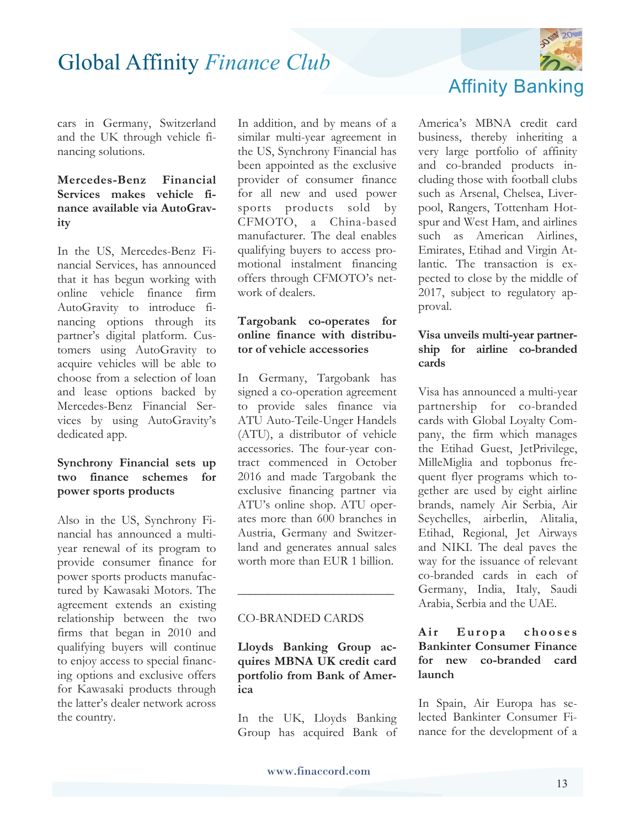

cars in Germany, Switzerland and the UK through vehicle financing solutions.

#### **Mercedes-Benz Financial Services makes vehicle finance available via AutoGravity**

In the US, Mercedes-Benz Financial Services, has announced that it has begun working with online vehicle finance firm AutoGravity to introduce financing options through its partner's digital platform. Customers using AutoGravity to acquire vehicles will be able to choose from a selection of loan and lease options backed by Mercedes-Benz Financial Services by using AutoGravity's dedicated app.

#### **Synchrony Financial sets up two finance schemes for power sports products**

Also in the US, Synchrony Financial has announced a multiyear renewal of its program to provide consumer finance for power sports products manufactured by Kawasaki Motors. The agreement extends an existing relationship between the two firms that began in 2010 and qualifying buyers will continue to enjoy access to special financing options and exclusive offers for Kawasaki products through the latter's dealer network across the country.

In addition, and by means of a similar multi-year agreement in the US, Synchrony Financial has been appointed as the exclusive provider of consumer finance for all new and used power sports products sold by CFMOTO, a China-based manufacturer. The deal enables qualifying buyers to access promotional instalment financing offers through CFMOTO's network of dealers.

#### **Targobank co-operates for online finance with distributor of vehicle accessories**

In Germany, Targobank has signed a co-operation agreement to provide sales finance via ATU Auto-Teile-Unger Handels (ATU), a distributor of vehicle accessories. The four-year contract commenced in October 2016 and made Targobank the exclusive financing partner via ATU's online shop. ATU operates more than 600 branches in Austria, Germany and Switzerland and generates annual sales worth more than EUR 1 billion.

#### CO-BRANDED CARDS

**Lloyds Banking Group acquires MBNA UK credit card portfolio from Bank of America** 

**\_\_\_\_\_\_\_\_\_\_\_\_\_\_\_\_\_\_\_\_\_\_\_\_\_\_**

In the UK, Lloyds Banking Group has acquired Bank of America's MBNA credit card business, thereby inheriting a very large portfolio of affinity and co-branded products including those with football clubs such as Arsenal, Chelsea, Liverpool, Rangers, Tottenham Hotspur and West Ham, and airlines such as American Airlines, Emirates, Etihad and Virgin Atlantic. The transaction is expected to close by the middle of 2017, subject to regulatory approval.

#### **Visa unveils multi-year partnership for airline co-branded cards**

Visa has announced a multi-year partnership for co-branded cards with Global Loyalty Company, the firm which manages the Etihad Guest, JetPrivilege, MilleMiglia and topbonus frequent flyer programs which together are used by eight airline brands, namely Air Serbia, Air Seychelles, airberlin, Alitalia, Etihad, Regional, Jet Airways and NIKI. The deal paves the way for the issuance of relevant co-branded cards in each of Germany, India, Italy, Saudi Arabia, Serbia and the UAE.

#### Air Europa chooses **Bankinter Consumer Finance for new co-branded card launch**

In Spain, Air Europa has selected Bankinter Consumer Finance for the development of a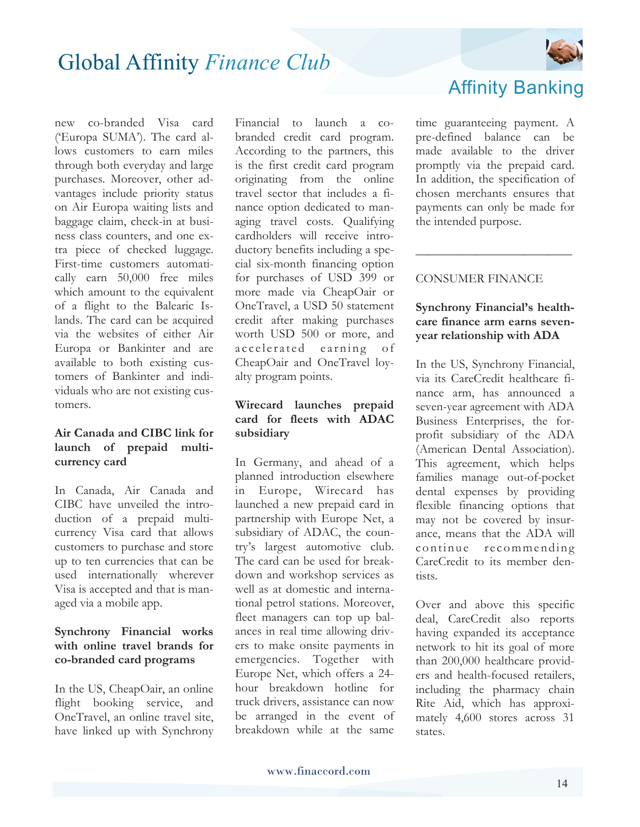

new co-branded Visa card ('Europa SUMA'). The card allows customers to earn miles through both everyday and large purchases. Moreover, other advantages include priority status on Air Europa waiting lists and baggage claim, check-in at business class counters, and one extra piece of checked luggage. First-time customers automatically earn 50,000 free miles which amount to the equivalent of a flight to the Balearic Islands. The card can be acquired via the websites of either Air Europa or Bankinter and are available to both existing customers of Bankinter and individuals who are not existing customers.

#### **Air Canada and CIBC link for launch of prepaid multicurrency card**

In Canada, Air Canada and CIBC have unveiled the introduction of a prepaid multicurrency Visa card that allows customers to purchase and store up to ten currencies that can be used internationally wherever Visa is accepted and that is managed via a mobile app.

#### **Synchrony Financial works with online travel brands for co-branded card programs**

In the US, CheapOair, an online flight booking service, and OneTravel, an online travel site, have linked up with Synchrony Financial to launch a cobranded credit card program. According to the partners, this is the first credit card program originating from the online travel sector that includes a finance option dedicated to managing travel costs. Qualifying cardholders will receive introductory benefits including a special six-month financing option for purchases of USD 399 or more made via CheapOair or OneTravel, a USD 50 statement credit after making purchases worth USD 500 or more, and accelerated earning of CheapOair and OneTravel loyalty program points.

#### **Wirecard launches prepaid card for fleets with ADAC subsidiary**

In Germany, and ahead of a planned introduction elsewhere in Europe, Wirecard has launched a new prepaid card in partnership with Europe Net, a subsidiary of ADAC, the country's largest automotive club. The card can be used for breakdown and workshop services as well as at domestic and international petrol stations. Moreover, fleet managers can top up balances in real time allowing drivers to make onsite payments in emergencies. Together with Europe Net, which offers a 24 hour breakdown hotline for truck drivers, assistance can now be arranged in the event of breakdown while at the same

### Affinity Banking

time guaranteeing payment. A pre-defined balance can be made available to the driver promptly via the prepaid card. In addition, the specification of chosen merchants ensures that payments can only be made for the intended purpose.

#### CONSUMER FINANCE

#### **Synchrony Financial's healthcare finance arm earns sevenyear relationship with ADA**

**\_\_\_\_\_\_\_\_\_\_\_\_\_\_\_\_\_\_\_\_\_\_\_\_\_\_**

In the US, Synchrony Financial, via its CareCredit healthcare finance arm, has announced a seven-year agreement with ADA Business Enterprises, the forprofit subsidiary of the ADA (American Dental Association). This agreement, which helps families manage out-of-pocket dental expenses by providing flexible financing options that may not be covered by insurance, means that the ADA will continue recommending CareCredit to its member dentists.

Over and above this specific deal, CareCredit also reports having expanded its acceptance network to hit its goal of more than 200,000 healthcare providers and health-focused retailers, including the pharmacy chain Rite Aid, which has approximately 4,600 stores across 31 states.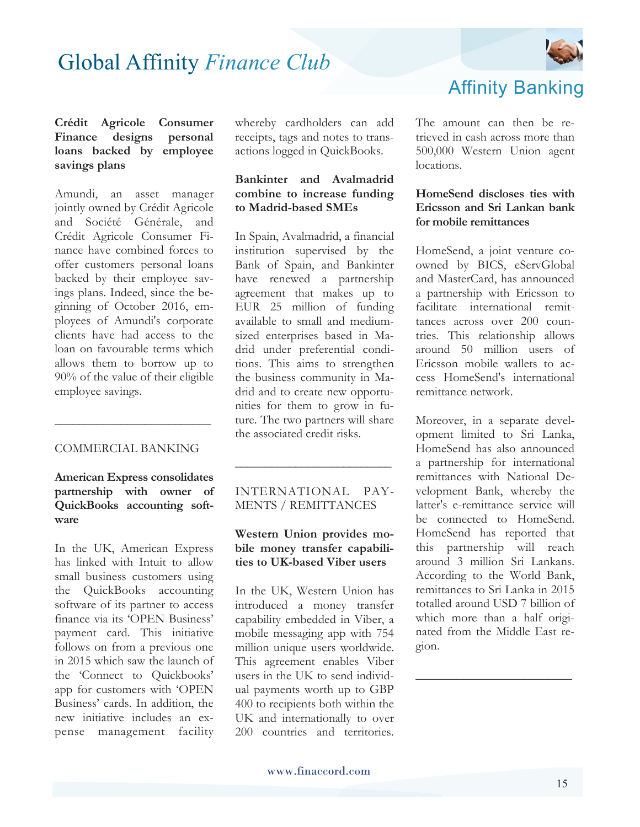

#### **Crédit Agricole Consumer Finance designs personal loans backed by employee savings plans**

Amundi, an asset manager jointly owned by Crédit Agricole and Société Générale, and Crédit Agricole Consumer Finance have combined forces to offer customers personal loans backed by their employee savings plans. Indeed, since the beginning of October 2016, employees of Amundi's corporate clients have had access to the loan on favourable terms which allows them to borrow up to 90% of the value of their eligible employee savings.

#### COMMERCIAL BANKING

**\_\_\_\_\_\_\_\_\_\_\_\_\_\_\_\_\_\_\_\_\_\_\_\_\_\_**

#### **American Express consolidates partnership with owner of QuickBooks accounting software**

In the UK, American Express has linked with Intuit to allow small business customers using the QuickBooks accounting software of its partner to access finance via its 'OPEN Business' payment card. This initiative follows on from a previous one in 2015 which saw the launch of the 'Connect to Quickbooks' app for customers with 'OPEN Business' cards. In addition, the new initiative includes an expense management facility whereby cardholders can add receipts, tags and notes to transactions logged in QuickBooks.

#### **Bankinter and Avalmadrid combine to increase funding to Madrid-based SMEs**

In Spain, Avalmadrid, a financial institution supervised by the Bank of Spain, and Bankinter have renewed a partnership agreement that makes up to EUR 25 million of funding available to small and mediumsized enterprises based in Madrid under preferential conditions. This aims to strengthen the business community in Madrid and to create new opportunities for them to grow in future. The two partners will share the associated credit risks.

#### INTERNATIONAL PAY-MENTS / REMITTANCES

**\_\_\_\_\_\_\_\_\_\_\_\_\_\_\_\_\_\_\_\_\_\_\_\_\_\_**

#### **Western Union provides mobile money transfer capabilities to UK-based Viber users**

In the UK, Western Union has introduced a money transfer capability embedded in Viber, a mobile messaging app with 754 million unique users worldwide. This agreement enables Viber users in the UK to send individual payments worth up to GBP 400 to recipients both within the UK and internationally to over 200 countries and territories.

### Affinity Banking

The amount can then be retrieved in cash across more than 500,000 Western Union agent locations.

#### **HomeSend discloses ties with Ericsson and Sri Lankan bank for mobile remittances**

HomeSend, a joint venture coowned by BICS, eServGlobal and MasterCard, has announced a partnership with Ericsson to facilitate international remittances across over 200 countries. This relationship allows around 50 million users of Ericsson mobile wallets to access HomeSend's international remittance network.

Moreover, in a separate development limited to Sri Lanka, HomeSend has also announced a partnership for international remittances with National Development Bank, whereby the latter's e-remittance service will be connected to HomeSend. HomeSend has reported that this partnership will reach around 3 million Sri Lankans. According to the World Bank, remittances to Sri Lanka in 2015 totalled around USD 7 billion of which more than a half originated from the Middle East region.

**\_\_\_\_\_\_\_\_\_\_\_\_\_\_\_\_\_\_\_\_\_\_\_\_\_\_**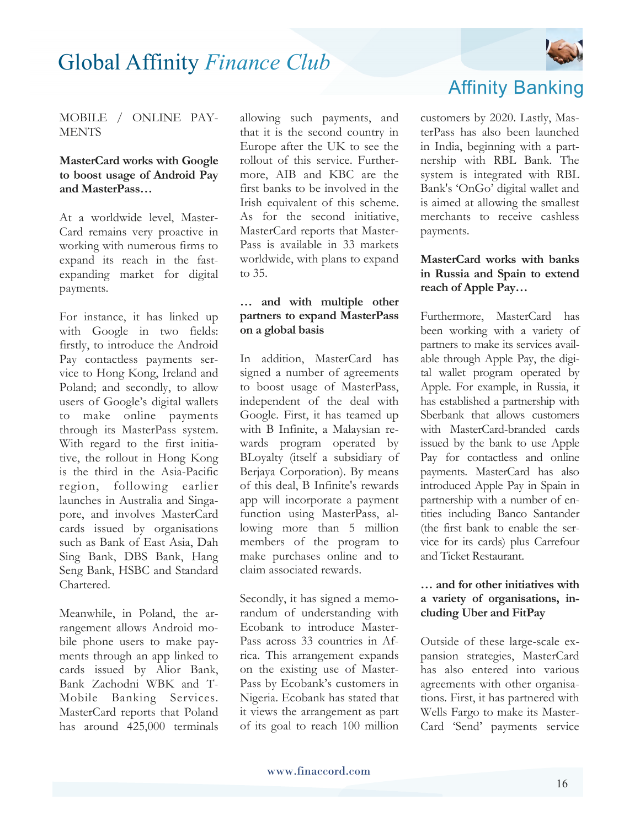

#### MOBILE / ONLINE PAY-**MENTS**

#### **MasterCard works with Google to boost usage of Android Pay and MasterPass…**

At a worldwide level, Master-Card remains very proactive in working with numerous firms to expand its reach in the fastexpanding market for digital payments.

For instance, it has linked up with Google in two fields: firstly, to introduce the Android Pay contactless payments service to Hong Kong, Ireland and Poland; and secondly, to allow users of Google's digital wallets to make online payments through its MasterPass system. With regard to the first initiative, the rollout in Hong Kong is the third in the Asia-Pacific region, following earlier launches in Australia and Singapore, and involves MasterCard cards issued by organisations such as Bank of East Asia, Dah Sing Bank, DBS Bank, Hang Seng Bank, HSBC and Standard Chartered.

Meanwhile, in Poland, the arrangement allows Android mobile phone users to make payments through an app linked to cards issued by Alior Bank, Bank Zachodni WBK and T-Mobile Banking Services. MasterCard reports that Poland has around 425,000 terminals

allowing such payments, and that it is the second country in Europe after the UK to see the rollout of this service. Furthermore, AIB and KBC are the first banks to be involved in the Irish equivalent of this scheme. As for the second initiative, MasterCard reports that Master-Pass is available in 33 markets worldwide, with plans to expand to 35.

#### **… and with multiple other partners to expand MasterPass on a global basis**

In addition, MasterCard has signed a number of agreements to boost usage of MasterPass, independent of the deal with Google. First, it has teamed up with B Infinite, a Malaysian rewards program operated by BLoyalty (itself a subsidiary of Berjaya Corporation). By means of this deal, B Infinite's rewards app will incorporate a payment function using MasterPass, allowing more than 5 million members of the program to make purchases online and to claim associated rewards.

Secondly, it has signed a memorandum of understanding with Ecobank to introduce Master-Pass across 33 countries in Africa. This arrangement expands on the existing use of Master-Pass by Ecobank's customers in Nigeria. Ecobank has stated that it views the arrangement as part of its goal to reach 100 million

### Affinity Banking

customers by 2020. Lastly, MasterPass has also been launched in India, beginning with a partnership with RBL Bank. The system is integrated with RBL Bank's 'OnGo' digital wallet and is aimed at allowing the smallest merchants to receive cashless payments.

#### **MasterCard works with banks in Russia and Spain to extend reach of Apple Pay…**

Furthermore, MasterCard has been working with a variety of partners to make its services available through Apple Pay, the digital wallet program operated by Apple. For example, in Russia, it has established a partnership with Sberbank that allows customers with MasterCard-branded cards issued by the bank to use Apple Pay for contactless and online payments. MasterCard has also introduced Apple Pay in Spain in partnership with a number of entities including Banco Santander (the first bank to enable the service for its cards) plus Carrefour and Ticket Restaurant.

#### **… and for other initiatives with a variety of organisations, including Uber and FitPay**

Outside of these large-scale expansion strategies, MasterCard has also entered into various agreements with other organisations. First, it has partnered with Wells Fargo to make its Master-Card 'Send' payments service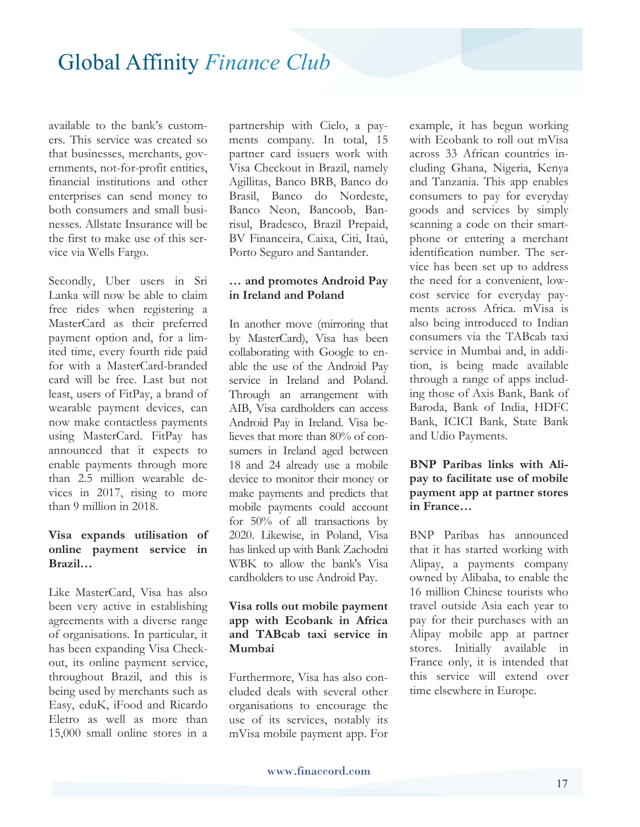available to the bank's customers. This service was created so that businesses, merchants, governments, not-for-profit entities, financial institutions and other enterprises can send money to both consumers and small businesses. Allstate Insurance will be the first to make use of this service via Wells Fargo.

Secondly, Uber users in Sri Lanka will now be able to claim free rides when registering a MasterCard as their preferred payment option and, for a limited time, every fourth ride paid for with a MasterCard-branded card will be free. Last but not least, users of FitPay, a brand of wearable payment devices, can now make contactless payments using MasterCard. FitPay has announced that it expects to enable payments through more than 2.5 million wearable devices in 2017, rising to more than 9 million in 2018.

#### **Visa expands utilisation of online payment service in Brazil…**

Like MasterCard, Visa has also been very active in establishing agreements with a diverse range of organisations. In particular, it has been expanding Visa Checkout, its online payment service, throughout Brazil, and this is being used by merchants such as Easy, eduK, iFood and Ricardo Eletro as well as more than 15,000 small online stores in a

partnership with Cielo, a payments company. In total, 15 partner card issuers work with Visa Checkout in Brazil, namely Agillitas, Banco BRB, Banco do Brasil, Banco do Nordeste, Banco Neon, Bancoob, Banrisul, Bradesco, Brazil Prepaid, BV Financeira, Caixa, Citi, Itaú, Porto Seguro and Santander.

#### **… and promotes Android Pay in Ireland and Poland**

In another move (mirroring that by MasterCard), Visa has been collaborating with Google to enable the use of the Android Pay service in Ireland and Poland. Through an arrangement with AIB, Visa cardholders can access Android Pay in Ireland. Visa believes that more than 80% of consumers in Ireland aged between 18 and 24 already use a mobile device to monitor their money or make payments and predicts that mobile payments could account for 50% of all transactions by 2020. Likewise, in Poland, Visa has linked up with Bank Zachodni WBK to allow the bank's Visa cardholders to use Android Pay.

#### **Visa rolls out mobile payment app with Ecobank in Africa and TABcab taxi service in Mumbai**

Furthermore, Visa has also concluded deals with several other organisations to encourage the use of its services, notably its mVisa mobile payment app. For

example, it has begun working with Ecobank to roll out mVisa across 33 African countries including Ghana, Nigeria, Kenya and Tanzania. This app enables consumers to pay for everyday goods and services by simply scanning a code on their smartphone or entering a merchant identification number. The service has been set up to address the need for a convenient, lowcost service for everyday payments across Africa. mVisa is also being introduced to Indian consumers via the TABcab taxi service in Mumbai and, in addition, is being made available through a range of apps including those of Axis Bank, Bank of Baroda, Bank of India, HDFC Bank, ICICI Bank, State Bank and Udio Payments.

#### **BNP Paribas links with Alipay to facilitate use of mobile payment app at partner stores in France…**

BNP Paribas has announced that it has started working with Alipay, a payments company owned by Alibaba, to enable the 16 million Chinese tourists who travel outside Asia each year to pay for their purchases with an Alipay mobile app at partner stores. Initially available in France only, it is intended that this service will extend over time elsewhere in Europe.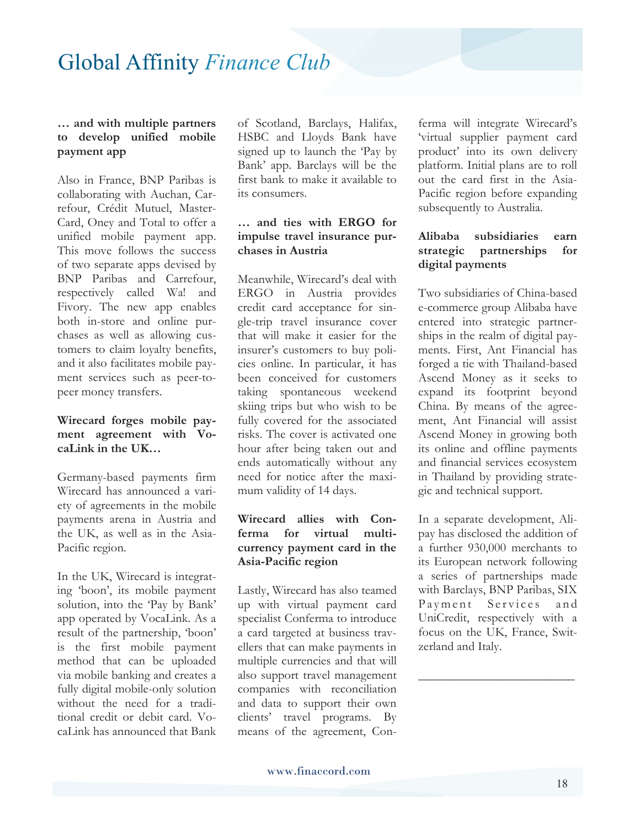#### **… and with multiple partners to develop unified mobile payment app**

Also in France, BNP Paribas is collaborating with Auchan, Carrefour, Crédit Mutuel, Master-Card, Oney and Total to offer a unified mobile payment app. This move follows the success of two separate apps devised by BNP Paribas and Carrefour, respectively called Wa! and Fivory. The new app enables both in-store and online purchases as well as allowing customers to claim loyalty benefits, and it also facilitates mobile payment services such as peer-topeer money transfers.

#### **Wirecard forges mobile payment agreement with VocaLink in the UK…**

Germany-based payments firm Wirecard has announced a variety of agreements in the mobile payments arena in Austria and the UK, as well as in the Asia-Pacific region.

In the UK, Wirecard is integrating 'boon', its mobile payment solution, into the 'Pay by Bank' app operated by VocaLink. As a result of the partnership, 'boon' is the first mobile payment method that can be uploaded via mobile banking and creates a fully digital mobile-only solution without the need for a traditional credit or debit card. VocaLink has announced that Bank

of Scotland, Barclays, Halifax, HSBC and Lloyds Bank have signed up to launch the 'Pay by Bank' app. Barclays will be the first bank to make it available to its consumers.

#### **… and ties with ERGO for impulse travel insurance purchases in Austria**

Meanwhile, Wirecard's deal with ERGO in Austria provides credit card acceptance for single-trip travel insurance cover that will make it easier for the insurer's customers to buy policies online. In particular, it has been conceived for customers taking spontaneous weekend skiing trips but who wish to be fully covered for the associated risks. The cover is activated one hour after being taken out and ends automatically without any need for notice after the maximum validity of 14 days.

#### **Wirecard allies with Conferma for virtual multicurrency payment card in the Asia-Pacific region**

Lastly, Wirecard has also teamed up with virtual payment card specialist Conferma to introduce a card targeted at business travellers that can make payments in multiple currencies and that will also support travel management companies with reconciliation and data to support their own clients' travel programs. By means of the agreement, Con-

ferma will integrate Wirecard's 'virtual supplier payment card product' into its own delivery platform. Initial plans are to roll out the card first in the Asia-Pacific region before expanding subsequently to Australia.

#### **Alibaba subsidiaries earn strategic partnerships for digital payments**

Two subsidiaries of China-based e-commerce group Alibaba have entered into strategic partnerships in the realm of digital payments. First, Ant Financial has forged a tie with Thailand-based Ascend Money as it seeks to expand its footprint beyond China. By means of the agreement, Ant Financial will assist Ascend Money in growing both its online and offline payments and financial services ecosystem in Thailand by providing strategic and technical support.

In a separate development, Alipay has disclosed the addition of a further 930,000 merchants to its European network following a series of partnerships made with Barclays, BNP Paribas, SIX Payment Services and UniCredit, respectively with a focus on the UK, France, Switzerland and Italy.

**\_\_\_\_\_\_\_\_\_\_\_\_\_\_\_\_\_\_\_\_\_\_\_\_\_\_**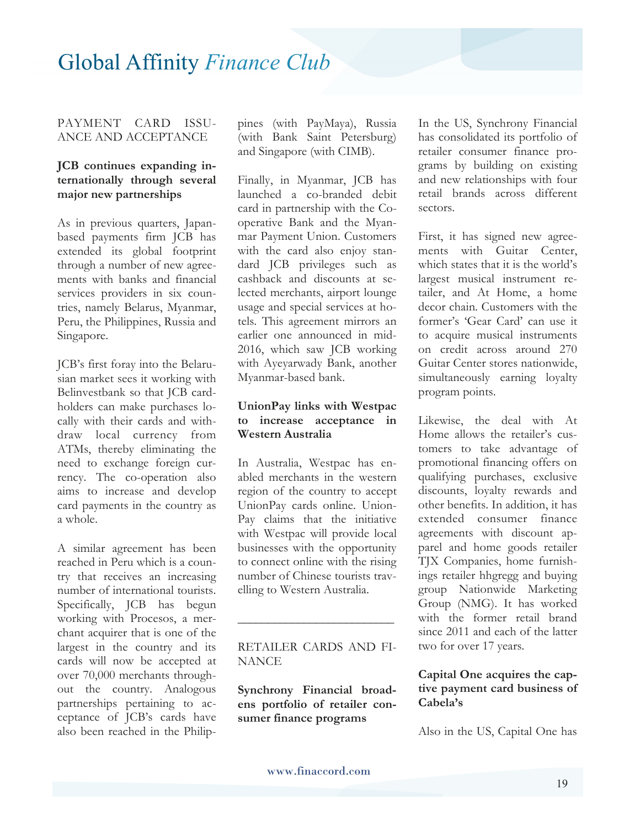#### PAYMENT CARD ISSU-ANCE AND ACCEPTANCE

#### **JCB continues expanding internationally through several major new partnerships**

As in previous quarters, Japanbased payments firm JCB has extended its global footprint through a number of new agreements with banks and financial services providers in six countries, namely Belarus, Myanmar, Peru, the Philippines, Russia and Singapore.

JCB's first foray into the Belarusian market sees it working with Belinvestbank so that JCB cardholders can make purchases locally with their cards and withdraw local currency from ATMs, thereby eliminating the need to exchange foreign currency. The co-operation also aims to increase and develop card payments in the country as a whole.

A similar agreement has been reached in Peru which is a country that receives an increasing number of international tourists. Specifically, JCB has begun working with Procesos, a merchant acquirer that is one of the largest in the country and its cards will now be accepted at over 70,000 merchants throughout the country. Analogous partnerships pertaining to acceptance of JCB's cards have also been reached in the Philippines (with PayMaya), Russia (with Bank Saint Petersburg) and Singapore (with CIMB).

Finally, in Myanmar, JCB has launched a co-branded debit card in partnership with the Cooperative Bank and the Myanmar Payment Union. Customers with the card also enjoy standard JCB privileges such as cashback and discounts at selected merchants, airport lounge usage and special services at hotels. This agreement mirrors an earlier one announced in mid-2016, which saw JCB working with Ayeyarwady Bank, another Myanmar-based bank.

#### **UnionPay links with Westpac to increase acceptance in Western Australia**

In Australia, Westpac has enabled merchants in the western region of the country to accept UnionPay cards online. Union-Pay claims that the initiative with Westpac will provide local businesses with the opportunity to connect online with the rising number of Chinese tourists travelling to Western Australia.

#### RETAILER CARDS AND FI-**NANCE**

**\_\_\_\_\_\_\_\_\_\_\_\_\_\_\_\_\_\_\_\_\_\_\_\_\_\_**

**Synchrony Financial broadens portfolio of retailer consumer finance programs** 

In the US, Synchrony Financial has consolidated its portfolio of retailer consumer finance programs by building on existing and new relationships with four retail brands across different sectors.

First, it has signed new agreements with Guitar Center, which states that it is the world's largest musical instrument retailer, and At Home, a home decor chain. Customers with the former's 'Gear Card' can use it to acquire musical instruments on credit across around 270 Guitar Center stores nationwide, simultaneously earning loyalty program points.

Likewise, the deal with At Home allows the retailer's customers to take advantage of promotional financing offers on qualifying purchases, exclusive discounts, loyalty rewards and other benefits. In addition, it has extended consumer finance agreements with discount apparel and home goods retailer TJX Companies, home furnishings retailer hhgregg and buying group Nationwide Marketing Group (NMG). It has worked with the former retail brand since 2011 and each of the latter two for over 17 years.

#### **Capital One acquires the captive payment card business of Cabela's**

Also in the US, Capital One has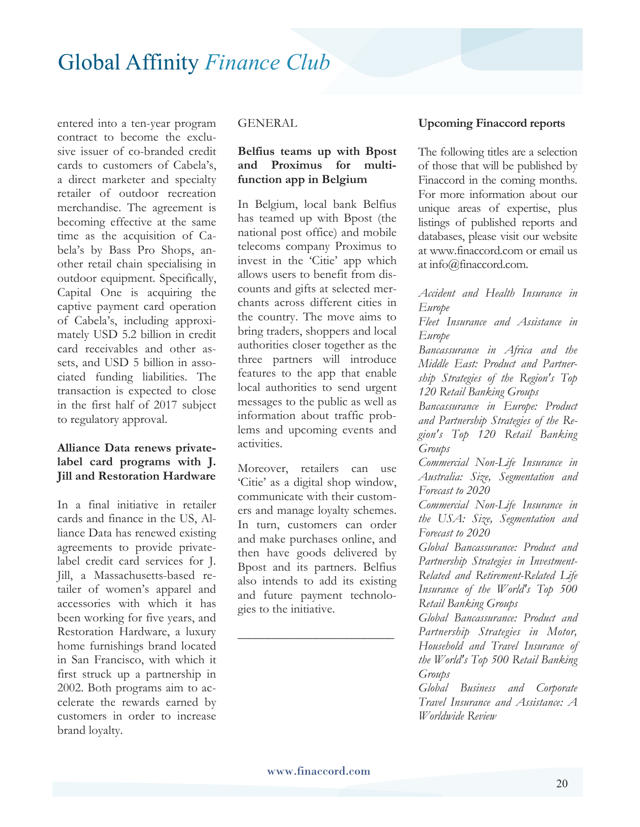entered into a ten-year program contract to become the exclusive issuer of co-branded credit cards to customers of Cabela's, a direct marketer and specialty retailer of outdoor recreation merchandise. The agreement is becoming effective at the same time as the acquisition of Cabela's by Bass Pro Shops, another retail chain specialising in outdoor equipment. Specifically, Capital One is acquiring the captive payment card operation of Cabela's, including approximately USD 5.2 billion in credit card receivables and other assets, and USD 5 billion in associated funding liabilities. The transaction is expected to close in the first half of 2017 subject to regulatory approval.

#### **Alliance Data renews privatelabel card programs with J. Jill and Restoration Hardware**

In a final initiative in retailer cards and finance in the US, Alliance Data has renewed existing agreements to provide privatelabel credit card services for J. Jill, a Massachusetts-based retailer of women's apparel and accessories with which it has been working for five years, and Restoration Hardware, a luxury home furnishings brand located in San Francisco, with which it first struck up a partnership in 2002. Both programs aim to accelerate the rewards earned by customers in order to increase brand loyalty.

#### GENERAL

#### **Belfius teams up with Bpost and Proximus for multifunction app in Belgium**

In Belgium, local bank Belfius has teamed up with Bpost (the national post office) and mobile telecoms company Proximus to invest in the 'Citie' app which allows users to benefit from discounts and gifts at selected merchants across different cities in the country. The move aims to bring traders, shoppers and local authorities closer together as the three partners will introduce features to the app that enable local authorities to send urgent messages to the public as well as information about traffic problems and upcoming events and activities.

Moreover, retailers can use 'Citie' as a digital shop window, communicate with their customers and manage loyalty schemes. In turn, customers can order and make purchases online, and then have goods delivered by Bpost and its partners. Belfius also intends to add its existing and future payment technologies to the initiative.

**\_\_\_\_\_\_\_\_\_\_\_\_\_\_\_\_\_\_\_\_\_\_\_\_\_\_** 

#### **Upcoming Finaccord reports**

The following titles are a selection of those that will be published by Finaccord in the coming months. For more information about our unique areas of expertise, plus listings of published reports and databases, please visit our website at www.finaccord.com or email us at info@finaccord.com.

*Accident and Health Insurance in Europe Fleet Insurance and Assistance in Europe Bancassurance in Africa and the Middle East: Product and Partnership Strategies of the Region's Top 120 Retail Banking Groups Bancassurance in Europe: Product and Partnership Strategies of the Region's Top 120 Retail Banking Groups Commercial Non-Life Insurance in Australia: Size, Segmentation and Forecast to 2020 Commercial Non-Life Insurance in the USA: Size, Segmentation and Forecast to 2020 Global Bancassurance: Product and Partnership Strategies in Investment-Related and Retirement-Related Life Insurance of the World's Top 500 Retail Banking Groups Global Bancassurance: Product and Partnership Strategies in Motor, Household and Travel Insurance of the World's Top 500 Retail Banking Groups* 

*Global Business and Corporate Travel Insurance and Assistance: A Worldwide Review*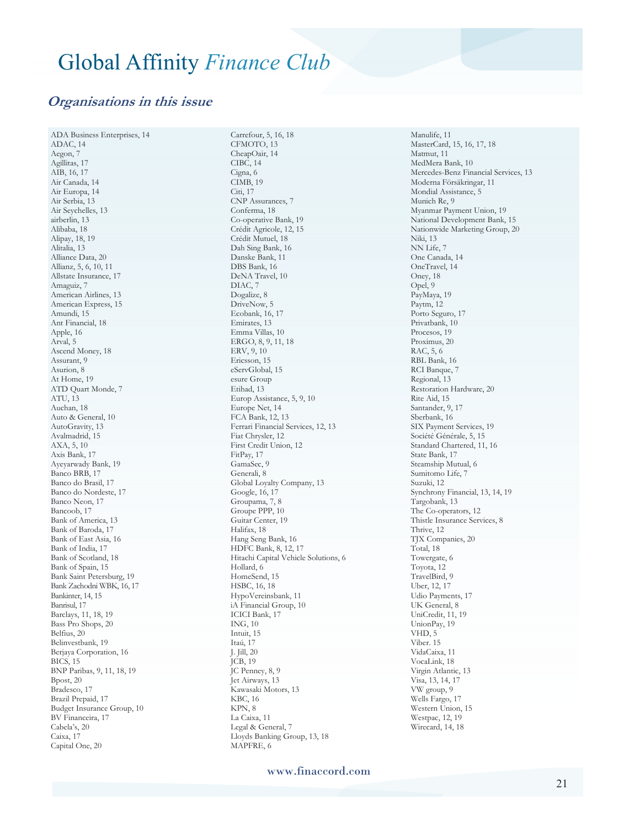#### **Organisations in this issue**

ADA Business Enterprises, 14 ADAC, 14 Aegon, 7 Agillitas, 17 AIB, 16, 17 Air Canada, 14 Air Europa, 14 Air Serbia, 13 Air Seychelles, 13 airberlin, 13 Alibaba, 18 Alipay, 18, 19 Alitalia, 13 Alliance Data, 20 Allianz, 5, 6, 10, 11 Allstate Insurance, 17 Amaguiz, 7 American Airlines, 13 American Express, 15 Amundi, 15 Ant Financial, 18 Apple, 16 Arval, 5 Ascend Money, 18 Assurant, 9 Asurion, 8 At Home, 19 ATD Quart Monde, 7 ATU, 13 Auchan, 18 Auto & General, 10 AutoGravity, 13 Avalmadrid, 15 AXA, 5, 10 Axis Bank, 17 Ayeyarwady Bank, 19 Banco BRB, 17 Banco do Brasil, 17 Banco do Nordeste, 17 Banco Neon, 17 Bancoob, 17 Bank of America, 13 Bank of Baroda, 17 Bank of East Asia, 16 Bank of India, 17 Bank of Scotland, 18 Bank of Spain, 15 Bank Saint Petersburg, 19 Bank Zachodni WBK, 16, 17 Bankinter, 14, 15 Banrisul, 17 Barclays, 11, 18, 19 Bass Pro Shops, 20 Belfius, 20 Belinvestbank, 19 Berjaya Corporation, 16 BICS, 15 BNP Paribas, 9, 11, 18, 19 Bpost, 20 Bradesco, 17 Brazil Prepaid, 17 Budget Insurance Group, 10 BV Financeira, 17 Cabela's, 20 Caixa, 17 Capital One, 20

Carrefour, 5, 16, 18 CFMOTO, 13 CheapOair, 14 CIBC, 14 Cigna, 6 CIMB, 19 Citi, 17 CNP Assurances, 7 Conferma, 18 Co-operative Bank, 19 Crédit Agricole, 12, 15 Crédit Mutuel, 18 Dah Sing Bank, 16 Danske Bank, 11 DBS Bank, 16 DeNA Travel, 10 DIAC, 7 Dogalize, 8 DriveNow<sub>, 5</sub> Ecobank, 16, 17 Emirates, 13 Emma Villas, 10 ERGO, 8, 9, 11, 18 ERV, 9, 10 Ericsson, 15 eServGlobal, 15 esure Group Etihad, 13 Europ Assistance, 5, 9, 10 Europe Net, 14 FCA Bank, 12, 13 Ferrari Financial Services, 12, 13 Fiat Chrysler, 12 First Credit Union, 12 FitPay, 17 GamaSec, 9 Generali, 8 Global Loyalty Company, 13 Google, 16, 17 Groupama, 7, 8 Groupe PPP, 10 Guitar Center, 19 Halifax, 18 Hang Seng Bank, 16 HDFC Bank, 8, 12, 17 Hitachi Capital Vehicle Solutions, 6 Hollard, 6 HomeSend, 15 HSBC, 16, 18 HypoVereinsbank, 11 iA Financial Group, 10 ICICI Bank, 17 ING, 10 Intuit, 15 Itaú, 17 J. Jill, 20 JCB, 19 JC Penney, 8, 9 Jet Airways, 13 Kawasaki Motors, 13 KBC, 16 KPN, 8 La Caixa, 11 Legal & General, 7 Lloyds Banking Group, 13, 18 MAPFRE, 6

Manulife, 11 MasterCard, 15, 16, 17, 18 Matmut, 11 MedMera Bank, 10 Mercedes-Benz Financial Services, 13 Moderna Försäkringar, 11 Mondial Assistance, 5 Munich Re, 9 Myanmar Payment Union, 19 National Development Bank, 15 Nationwide Marketing Group, 20 Niki, 13 NN Life, 7 One Canada, 14 OneTravel, 14 Oney, 18 Opel, 9 PayMaya, 19 Paytm, 12 Porto Seguro, 17 Privatbank, 10 Procesos, 19 Proximus, 20 RAC, 5, 6 RBL Bank, 16 RCI Banque, 7 Regional, 13 Restoration Hardware, 20 Rite Aid, 15 Santander, 9, 17 Sberbank, 16 SIX Payment Services, 19 Société Générale, 5, 15 Standard Chartered, 11, 16 State Bank, 17 Steamship Mutual, 6 Sumitomo Life, 7 Suzuki, 12 Synchrony Financial, 13, 14, 19 Targobank, 13 The Co-operators, 12 Thistle Insurance Services, 8 Thrive, 12 TJX Companies, 20 Total, 18 Towergate, 6 Toyota, 12 TravelBird, 9 Uber, 12, 17 Udio Payments, 17 UK General, 8 UniCredit, 11, 19 UnionPay, 19 VHD, 5 Viber. 15 VidaCaixa, 11 VocaLink, 18 Virgin Atlantic, 13 Visa, 13, 14, 17 VW group, 9 Wells Fargo, 17 Western Union, 15 Westpac, 12, 19 Wirecard, 14, 18

www.finaccord.com